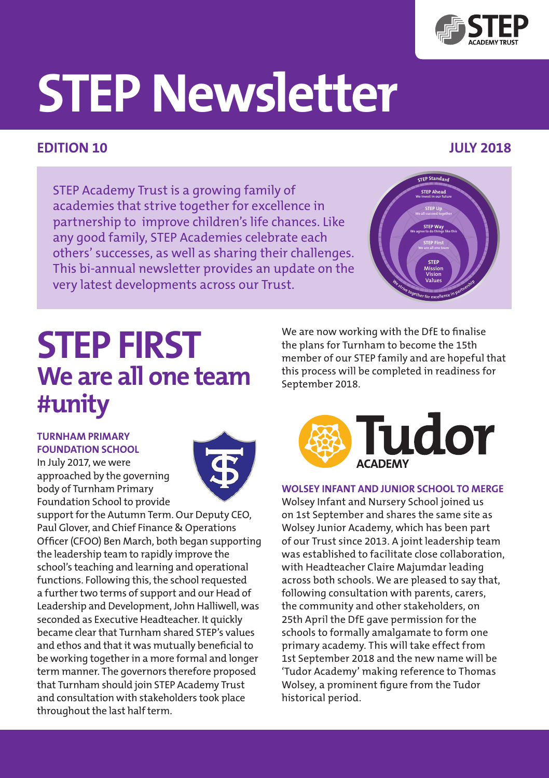

# **STEP Newsletter**

#### **Edition 10 JUly 2018**

STEP Academy Trust is a growing family of academies that strive together for excellence in partnership to improve children's life chances. Like any good family, STEP Academies celebrate each others' successes, as well as sharing their challenges. This bi-annual newsletter provides an update on the very latest developments across our Trust.

## **STEP First We are all one team #unity**

We are now working with the DfE to finalise the plans for Turnham to become the 15th member of our STEP family and are hopeful that this process will be completed in readiness for September 2018.

**STEP Mission Vision Values**

We strive together for excellence in partnership

**STEP Ahead We invest in our future STEP Up We all succeed together STEP Way We agree to do things like this STEP First We are all one team**

**STE<sup>P</sup> <sup>S</sup>tandard**

#### **Turnham Primary Foundation School**

In July 2017, we were approached by the governing body of Turnham Primary Foundation School to provide



support for the Autumn Term. Our Deputy CEO, Paul Glover, and Chief Finance & Operations Officer (CFOO) Ben March, both began supporting the leadership team to rapidly improve the school's teaching and learning and operational functions. Following this, the school requested a further two terms of support and our Head of Leadership and Development, John Halliwell, was seconded as Executive Headteacher. It quickly became clear that Turnham shared STEP's values and ethos and that it was mutually beneficial to be working together in a more formal and longer term manner. The governors therefore proposed that Turnham should join STEP Academy Trust and consultation with stakeholders took place throughout the last half term.



#### **Wolsey Infant and Junior school to merge**

Wolsey Infant and Nursery School joined us on 1st September and shares the same site as Wolsey Junior Academy, which has been part of our Trust since 2013. A joint leadership team was established to facilitate close collaboration, with Headteacher Claire Majumdar leading across both schools. We are pleased to say that, following consultation with parents, carers, the community and other stakeholders, on 25th April the DfE gave permission for the schools to formally amalgamate to form one primary academy. This will take effect from 1st September 2018 and the new name will be 'Tudor Academy' making reference to Thomas Wolsey, a prominent figure from the Tudor historical period.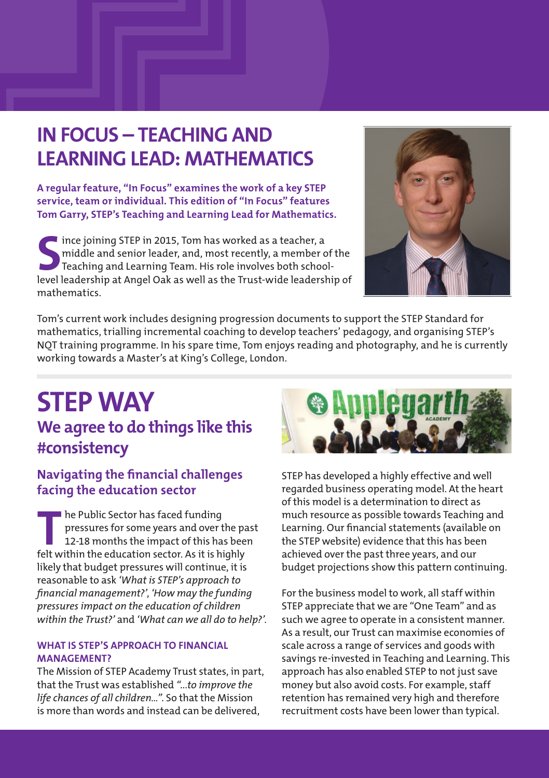## **In Focus – Teaching and Learning Lead: Mathematics**

**A regular feature, "In Focus" examines the work of a key STEP service, team or individual. This edition of "In Focus" features Tom Garry, STEP's Teaching and Learning Lead for Mathematics.**

Ince joining STEP in 2015, Tom has worked as a teacher, a middle and senior leader, and, most recently, a member of the Teaching and Learning Team. His role involves both schoollevel leadership at Angel Oak as well as the I ince joining STEP in 2015, Tom has worked as a teacher, a middle and senior leader, and, most recently, a member of the Teaching and Learning Team. His role involves both schoolmathematics.



Tom's current work includes designing progression documents to support the STEP Standard for mathematics, trialling incremental coaching to develop teachers' pedagogy, and organising STEP's NQT training programme. In his spare time, Tom enjoys reading and photography, and he is currently working towards a Master's at King's College, London.

## **STEP Way We agree to do things like this #consistency**

### **Navigating the financial challenges facing the education sector**

**The Public Sector has faced funding<br>pressures for some years and over t<br>12-18 months the impact of this ha<br>felt within the education sector. As it is hi** pressures for some years and over the past 12-18 months the impact of this has been felt within the education sector. As it is highly likely that budget pressures will continue, it is reasonable to ask *'What is STEP's approach to financial management?'*, *'How may the funding pressures impact on the education of children within the Trust?'* and *'What can we all do to help?'*.

#### **What is STEP's approach to financial management?**

The Mission of STEP Academy Trust states, in part, that the Trust was established *"...to improve the life chances of all children…"*. So that the Mission is more than words and instead can be delivered,



STEP has developed a highly effective and well regarded business operating model. At the heart of this model is a determination to direct as much resource as possible towards Teaching and Learning. Our financial statements (available on the STEP website) evidence that this has been achieved over the past three years, and our budget projections show this pattern continuing.

For the business model to work, all staff within STEP appreciate that we are "One Team" and as such we agree to operate in a consistent manner. As a result, our Trust can maximise economies of scale across a range of services and goods with savings re-invested in Teaching and Learning. This approach has also enabled STEP to not just save money but also avoid costs. For example, staff retention has remained very high and therefore recruitment costs have been lower than typical.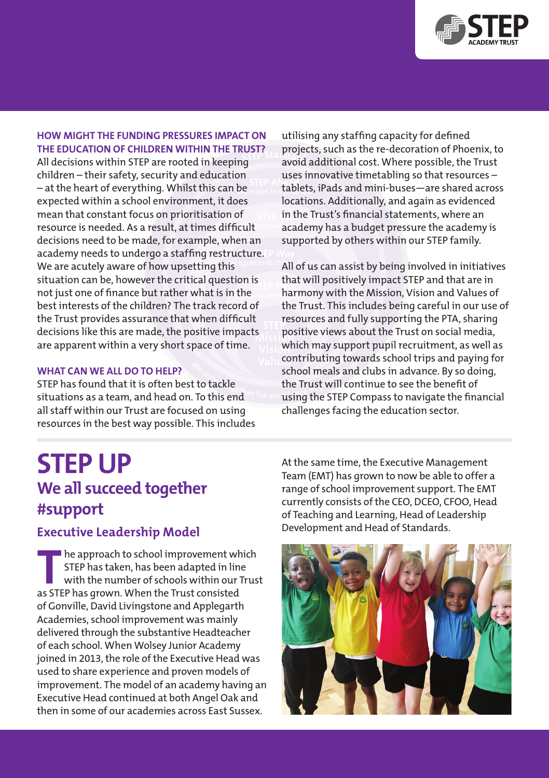

#### **How might the funding pressures impact on the education of children within the Trust?**

**academy needs to undergo a staffing restructure. P Way** All decisions within STEP are rooted in keeping children – their safety, security and education – at the heart of everything. Whilst this can be expected within a school environment, it does mean that constant focus on prioritisation of resource is needed. As a result, at times difficult decisions need to be made, for example, when an We are acutely aware of how upsetting this situation can be, however the critical question is not just one of finance but rather what is in the best interests of the children? The track record of the Trust provides assurance that when difficult decisions like this are made, the positive impacts are apparent within a very short space of time.

#### **What can we all do to help?**

STEP has found that it is often best to tackle situations as a team, and head on. To this end all staff within our Trust are focused on using resources in the best way possible. This includes

**STEP 8 And STEP And STEP And STEP And STEP And STEP 3 And STEP 3 And STEP 3 And STEP 3 And STEP 3 And STEP 3 And STEP 3 And STEP 3 And STEP 3 And STEP 3 And STEP 3 And STEP 3 And STEP 3 And STEP 3 And STEP 3 And STEP 3 An STEP Up** in the Trust's financial statements, where an cult **come academy has a budget pressure the academy is STE<sup>P</sup> <sup>S</sup>tandard** avoid additional cost. Where possible, the Trust utilising any staffing capacity for defined projects, such as the re-decoration of Phoenix, to uses innovative timetabling so that resources – locations. Additionally, and again as evidenced supported by others within our STEP family.

**STEPPOSITIES AND TRUST OF THE TRUST OF STEPPOSITIVE VIEWS about the Trust on social media,** which may support pupil recruitment, as well as **Vision Value contributing towards school trips and paying for We agree to do things like this** All of us can assist by being involved in initiatives **STEP FIRST WE are all one of the Mission, Vision and Values of** school meals and clubs in advance. By so do<br>t to tackle the Trust will continue to see the benefit of<br>To this end that will positively impact STEP and that are in the Trust. This includes being careful in our use of resources and fully supporting the PTA, sharing school meals and clubs in advance. By so doing, using the STEP Compass to navigate the financial challenges facing the education sector.

## **STEP Up We all succeed together #support**

#### **Executive Leadership Model**

**The approach to school improvement which STEP has taken, has been adapted in line with the number of schools within our Trust as STEP has grown When the Trust consisted** STEP has taken, has been adapted in line as STEP has grown. When the Trust consisted of Gonville, David Livingstone and Applegarth Academies, school improvement was mainly delivered through the substantive Headteacher of each school. When Wolsey Junior Academy joined in 2013, the role of the Executive Head was used to share experience and proven models of improvement. The model of an academy having an Executive Head continued at both Angel Oak and then in some of our academies across East Sussex.

At the same time, the Executive Management Team (EMT) has grown to now be able to offer a range of school improvement support. The EMT currently consists of the CEO, DCEO, CFOO, Head of Teaching and Learning, Head of Leadership Development and Head of Standards.